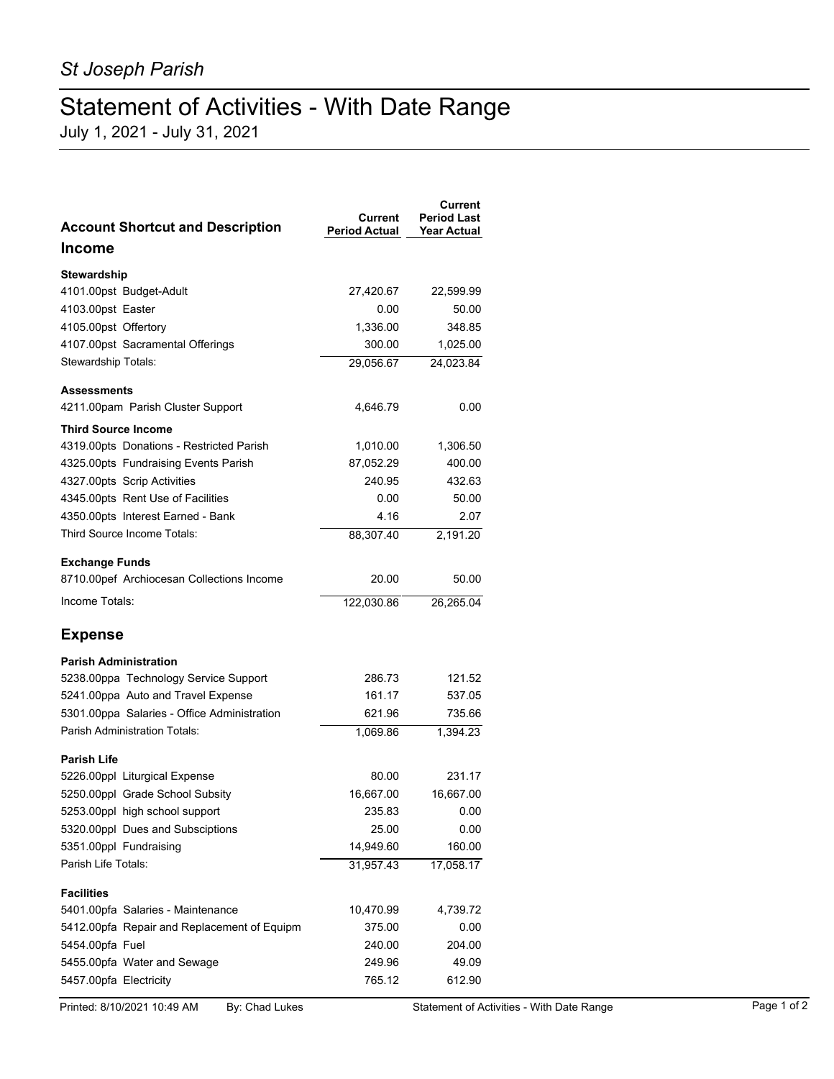## Statement of Activities - With Date Range

July 1, 2021 - July 31, 2021

| <b>Account Shortcut and Description</b>                        | Current<br><b>Period Actual</b> | Current<br><b>Period Last</b><br><b>Year Actual</b> |
|----------------------------------------------------------------|---------------------------------|-----------------------------------------------------|
| <b>Income</b>                                                  |                                 |                                                     |
| Stewardship                                                    |                                 |                                                     |
| 4101.00pst Budget-Adult                                        | 27,420.67                       | 22,599.99                                           |
| 4103.00pst Easter                                              | 0.00                            | 50.00                                               |
| 4105.00pst Offertory                                           | 1,336.00                        | 348.85                                              |
| 4107.00pst Sacramental Offerings                               | 300.00                          | 1,025.00                                            |
| Stewardship Totals:                                            | 29,056.67                       | 24,023.84                                           |
| <b>Assessments</b>                                             |                                 |                                                     |
| 4211.00pam Parish Cluster Support                              | 4,646.79                        | 0.00                                                |
| <b>Third Source Income</b>                                     |                                 |                                                     |
| 4319.00pts Donations - Restricted Parish                       | 1,010.00                        | 1,306.50                                            |
| 4325.00pts Fundraising Events Parish                           | 87,052.29                       | 400.00                                              |
| 4327.00pts Scrip Activities                                    | 240.95                          | 432.63                                              |
| 4345.00pts Rent Use of Facilities                              | 0.00                            | 50.00                                               |
| 4350.00pts Interest Earned - Bank                              | 4.16                            | 2.07                                                |
| Third Source Income Totals:                                    | 88,307.40                       | 2,191.20                                            |
| <b>Exchange Funds</b>                                          |                                 |                                                     |
| 8710.00pef Archiocesan Collections Income                      | 20.00                           | 50.00                                               |
| Income Totals:                                                 | 122,030.86                      | 26,265.04                                           |
| <b>Expense</b>                                                 |                                 |                                                     |
| <b>Parish Administration</b>                                   |                                 |                                                     |
| 5238.00ppa Technology Service Support                          | 286.73                          | 121.52                                              |
| 5241.00ppa Auto and Travel Expense                             | 161.17                          | 537.05                                              |
| 5301.00ppa Salaries - Office Administration                    | 621.96                          | 735.66                                              |
| <b>Parish Administration Totals:</b>                           | 1,069.86                        | 1,394.23                                            |
| <b>Parish Life</b>                                             |                                 |                                                     |
| 5226.00ppl Liturgical Expense                                  | 80.00                           | 231.17                                              |
| 5250.00ppl Grade School Subsity                                | 16,667.00                       | 16,667.00                                           |
| 5253.00ppl high school support                                 | 235.83                          | 0.00                                                |
| 5320.00ppl Dues and Subsciptions                               | 25.00                           | 0.00                                                |
| 5351.00ppl Fundraising                                         | 14,949.60                       | 160.00                                              |
| Parish Life Totals:                                            | 31,957.43                       | 17,058.17                                           |
| <b>Facilities</b>                                              |                                 | 4,739.72                                            |
| 5401.00pfa Salaries - Maintenance                              | 10,470.99<br>375.00             | 0.00                                                |
| 5412.00pfa Repair and Replacement of Equipm<br>5454.00pfa Fuel | 240.00                          | 204.00                                              |
| 5455.00pfa Water and Sewage                                    | 249.96                          | 49.09                                               |
| 5457.00pfa Electricity                                         | 765.12                          | 612.90                                              |
|                                                                |                                 |                                                     |